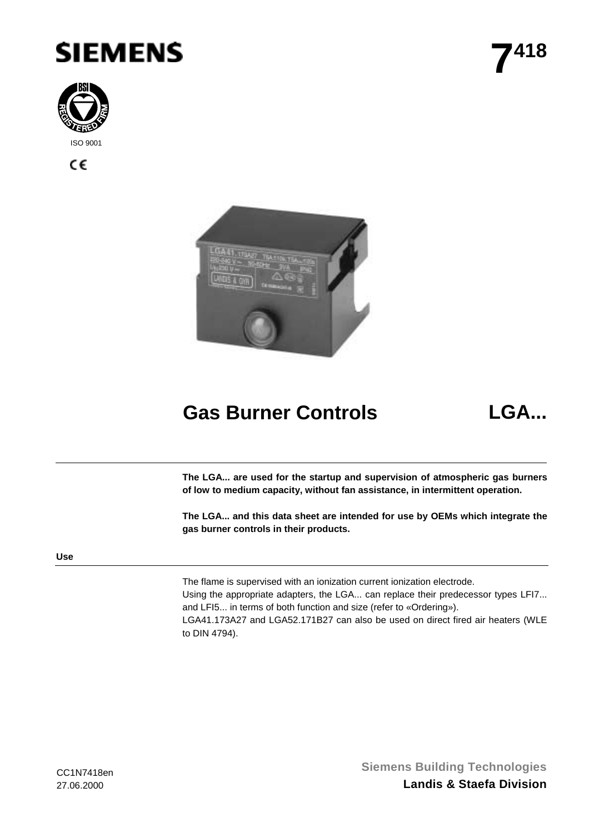



C€



# **Gas Burner Controls LGA...**

**The LGA... are used for the startup and supervision of atmospheric gas burners of low to medium capacity, without fan assistance, in intermittent operation.**

**The LGA... and this data sheet are intended for use by OEMs which integrate the gas burner controls in their products.**

**Use**

The flame is supervised with an ionization current ionization electrode.

Using the appropriate adapters, the LGA... can replace their predecessor types LFI7... and LFI5... in terms of both function and size (refer to «Ordering»).

LGA41.173A27 and LGA52.171B27 can also be used on direct fired air heaters (WLE to DIN 4794).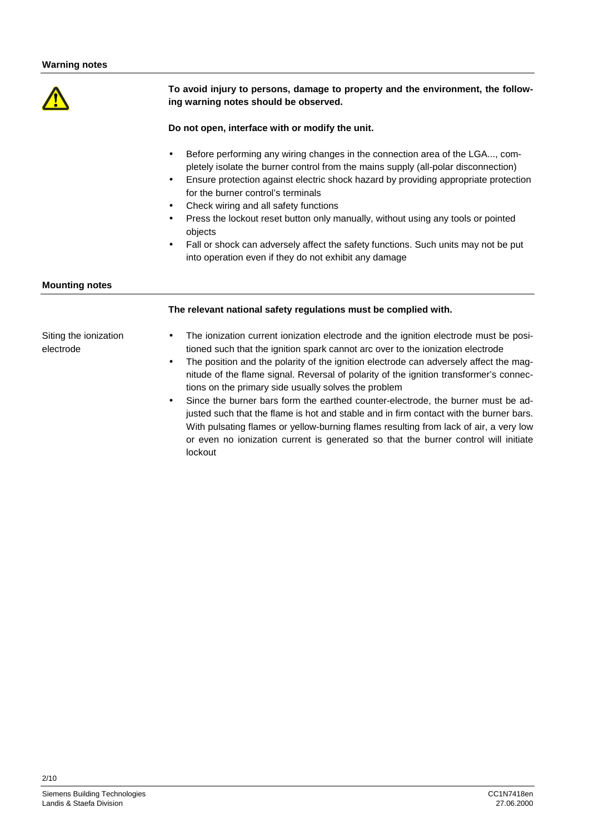

**To avoid injury to persons, damage to property and the environment, the following warning notes should be observed.**

## **Do not open, interface with or modify the unit.**

- Before performing any wiring changes in the connection area of the LGA..., completely isolate the burner control from the mains supply (all-polar disconnection)
- Ensure protection against electric shock hazard by providing appropriate protection for the burner control's terminals
- Check wiring and all safety functions
- Press the lockout reset button only manually, without using any tools or pointed objects
- Fall or shock can adversely affect the safety functions. Such units may not be put into operation even if they do not exhibit any damage

## **Mounting notes**

# **The relevant national safety regulations must be complied with.**

Siting the ionization electrode

- The ionization current ionization electrode and the ignition electrode must be positioned such that the ignition spark cannot arc over to the ionization electrode
- The position and the polarity of the ignition electrode can adversely affect the magnitude of the flame signal. Reversal of polarity of the ignition transformer's connections on the primary side usually solves the problem
- Since the burner bars form the earthed counter-electrode, the burner must be adjusted such that the flame is hot and stable and in firm contact with the burner bars. With pulsating flames or yellow-burning flames resulting from lack of air, a very low or even no ionization current is generated so that the burner control will initiate lockout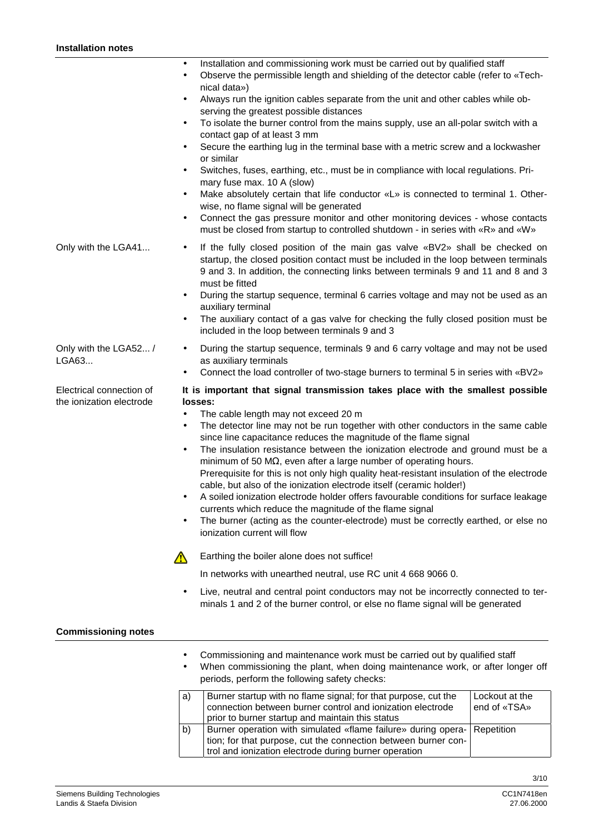| mstallation notes                                    |                                                                                                                                                                                                                                                                                                                                                                                                                                                                                                                                                                                                                                                                                                                                                                                                                                                                                                                                                                                                                                                                               |
|------------------------------------------------------|-------------------------------------------------------------------------------------------------------------------------------------------------------------------------------------------------------------------------------------------------------------------------------------------------------------------------------------------------------------------------------------------------------------------------------------------------------------------------------------------------------------------------------------------------------------------------------------------------------------------------------------------------------------------------------------------------------------------------------------------------------------------------------------------------------------------------------------------------------------------------------------------------------------------------------------------------------------------------------------------------------------------------------------------------------------------------------|
|                                                      | Installation and commissioning work must be carried out by qualified staff<br>$\bullet$<br>Observe the permissible length and shielding of the detector cable (refer to «Tech-<br>$\bullet$<br>nical data»)<br>Always run the ignition cables separate from the unit and other cables while ob-<br>$\bullet$<br>serving the greatest possible distances<br>To isolate the burner control from the mains supply, use an all-polar switch with a<br>$\bullet$<br>contact gap of at least 3 mm<br>Secure the earthing lug in the terminal base with a metric screw and a lockwasher<br>$\bullet$<br>or similar<br>Switches, fuses, earthing, etc., must be in compliance with local regulations. Pri-<br>$\bullet$<br>mary fuse max. 10 A (slow)<br>Make absolutely certain that life conductor «L» is connected to terminal 1. Other-<br>$\bullet$<br>wise, no flame signal will be generated<br>Connect the gas pressure monitor and other monitoring devices - whose contacts<br>$\bullet$<br>must be closed from startup to controlled shutdown - in series with «R» and «W» |
| Only with the LGA41                                  | If the fully closed position of the main gas valve «BV2» shall be checked on<br>$\bullet$<br>startup, the closed position contact must be included in the loop between terminals<br>9 and 3. In addition, the connecting links between terminals 9 and 11 and 8 and 3<br>must be fitted<br>During the startup sequence, terminal 6 carries voltage and may not be used as an<br>$\bullet$<br>auxiliary terminal<br>The auxiliary contact of a gas valve for checking the fully closed position must be<br>$\bullet$<br>included in the loop between terminals 9 and 3                                                                                                                                                                                                                                                                                                                                                                                                                                                                                                         |
| Only with the LGA52 /<br>LGA63                       | During the startup sequence, terminals 9 and 6 carry voltage and may not be used<br>$\bullet$<br>as auxiliary terminals<br>Connect the load controller of two-stage burners to terminal 5 in series with «BV2»<br>$\bullet$                                                                                                                                                                                                                                                                                                                                                                                                                                                                                                                                                                                                                                                                                                                                                                                                                                                   |
| Electrical connection of<br>the ionization electrode | It is important that signal transmission takes place with the smallest possible<br>losses:<br>The cable length may not exceed 20 m<br>$\bullet$<br>The detector line may not be run together with other conductors in the same cable<br>$\bullet$<br>since line capacitance reduces the magnitude of the flame signal<br>The insulation resistance between the ionization electrode and ground must be a<br>$\bullet$<br>minimum of 50 $M\Omega$ , even after a large number of operating hours.<br>Prerequisite for this is not only high quality heat-resistant insulation of the electrode<br>cable, but also of the ionization electrode itself (ceramic holder!)<br>A soiled ionization electrode holder offers favourable conditions for surface leakage<br>$\bullet$<br>currents which reduce the magnitude of the flame signal<br>The burner (acting as the counter-electrode) must be correctly earthed, or else no<br>$\bullet$<br>ionization current will flow                                                                                                     |
|                                                      | Earthing the boiler alone does not suffice!<br>$\sqrt{N}$                                                                                                                                                                                                                                                                                                                                                                                                                                                                                                                                                                                                                                                                                                                                                                                                                                                                                                                                                                                                                     |
|                                                      | In networks with unearthed neutral, use RC unit 4 668 9066 0.                                                                                                                                                                                                                                                                                                                                                                                                                                                                                                                                                                                                                                                                                                                                                                                                                                                                                                                                                                                                                 |
|                                                      | Live, neutral and central point conductors may not be incorrectly connected to ter-<br>minals 1 and 2 of the burner control, or else no flame signal will be generated                                                                                                                                                                                                                                                                                                                                                                                                                                                                                                                                                                                                                                                                                                                                                                                                                                                                                                        |

## **Commissioning notes**

- Commissioning and maintenance work must be carried out by qualified staff
- When commissioning the plant, when doing maintenance work, or after longer off periods, perform the following safety checks:

| a) | Burner startup with no flame signal; for that purpose, cut the<br>connection between burner control and ionization electrode<br>prior to burner startup and maintain this status                    | Lockout at the<br>end of «TSA» |
|----|-----------------------------------------------------------------------------------------------------------------------------------------------------------------------------------------------------|--------------------------------|
| b) | Burner operation with simulated «flame failure» during opera- Repetition<br>tion; for that purpose, cut the connection between burner con-<br>trol and ionization electrode during burner operation |                                |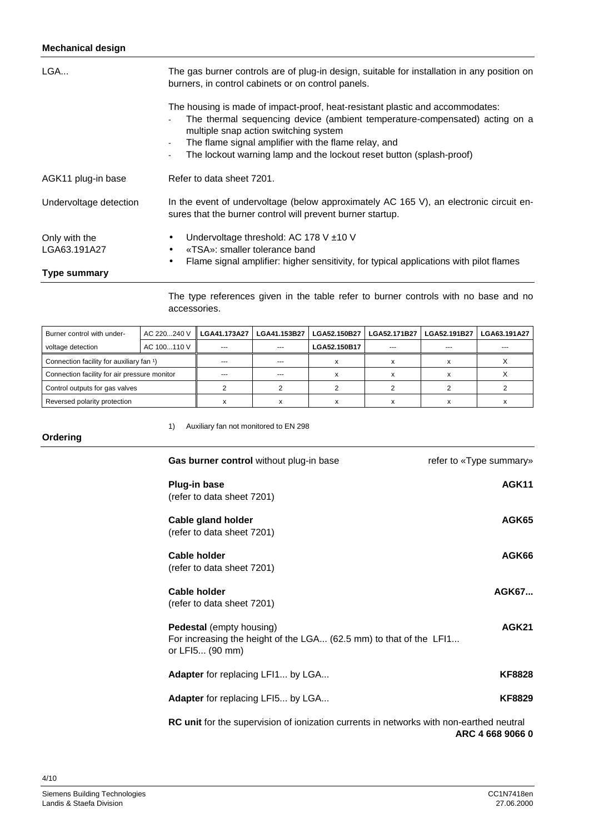# **Mechanical design**

| LGA                           | The gas burner controls are of plug-in design, suitable for installation in any position on<br>burners, in control cabinets or on control panels.                                                                                                                                                                                                         |  |  |  |  |
|-------------------------------|-----------------------------------------------------------------------------------------------------------------------------------------------------------------------------------------------------------------------------------------------------------------------------------------------------------------------------------------------------------|--|--|--|--|
|                               | The housing is made of impact-proof, heat-resistant plastic and accommodates:<br>The thermal sequencing device (ambient temperature-compensated) acting on a<br>multiple snap action switching system<br>The flame signal amplifier with the flame relay, and<br>$\sim$<br>The lockout warning lamp and the lockout reset button (splash-proof)<br>$\sim$ |  |  |  |  |
| AGK11 plug-in base            | Refer to data sheet 7201.                                                                                                                                                                                                                                                                                                                                 |  |  |  |  |
| Undervoltage detection        | In the event of undervoltage (below approximately AC 165 V), an electronic circuit en-<br>sures that the burner control will prevent burner startup.                                                                                                                                                                                                      |  |  |  |  |
| Only with the<br>LGA63.191A27 | Undervoltage threshold: AC 178 V $\pm$ 10 V<br>$\bullet$<br>«TSA»: smaller tolerance band<br>$\bullet$<br>Flame signal amplifier: higher sensitivity, for typical applications with pilot flames<br>$\bullet$                                                                                                                                             |  |  |  |  |
| <b>Type summary</b>           |                                                                                                                                                                                                                                                                                                                                                           |  |  |  |  |

The type references given in the table refer to burner controls with no base and no accessories.

| Burner control with under-                           | AC 220240 V | ⅡLGA41.173A27 I | LGA41.153B27  | LGA52.150B27 | LGA52.171B27 | LGA52.191B27 | LGA63.191A27 |
|------------------------------------------------------|-------------|-----------------|---------------|--------------|--------------|--------------|--------------|
| voltage detection                                    | AC 100110 V | $--$            | $- - -$       | LGA52.150B17 | ---          | ---          | $\cdots$     |
| Connection facility for auxiliary fan <sup>1</sup> ) |             | ---             | $\frac{1}{2}$ |              |              |              |              |
| Connection facility for air pressure monitor         |             |                 | ---           |              |              |              |              |
| Control outputs for gas valves                       |             |                 |               |              |              |              |              |
| Reversed polarity protection                         |             |                 | х             |              |              |              |              |

1) Auxiliary fan not monitored to EN 298

## **Ordering**

| Gas burner control without plug-in base                                                                                  | refer to «Type summary» |
|--------------------------------------------------------------------------------------------------------------------------|-------------------------|
| <b>Plug-in base</b><br>(refer to data sheet 7201)                                                                        | AGK11                   |
| Cable gland holder<br>(refer to data sheet 7201)                                                                         | AGK65                   |
| <b>Cable holder</b><br>(refer to data sheet 7201)                                                                        | AGK66                   |
| <b>Cable holder</b><br>(refer to data sheet 7201)                                                                        | AGK67                   |
| <b>Pedestal</b> (empty housing)<br>For increasing the height of the LGA (62.5 mm) to that of the LFI1<br>or LFI5 (90 mm) | <b>AGK21</b>            |
| <b>Adapter</b> for replacing LF11 by LGA                                                                                 | <b>KF8828</b>           |
| <b>Adapter</b> for replacing LFI5 by LGA                                                                                 | <b>KF8829</b>           |
| $\mathbf{R}$ $\mathbf{C}$ unit for the europeanician of indication european in potugal unit paper control poutrol        |                         |

**RC unit** for the supervision of ionization currents in networks with non-earthed neutral **ARC 4 668 9066 0**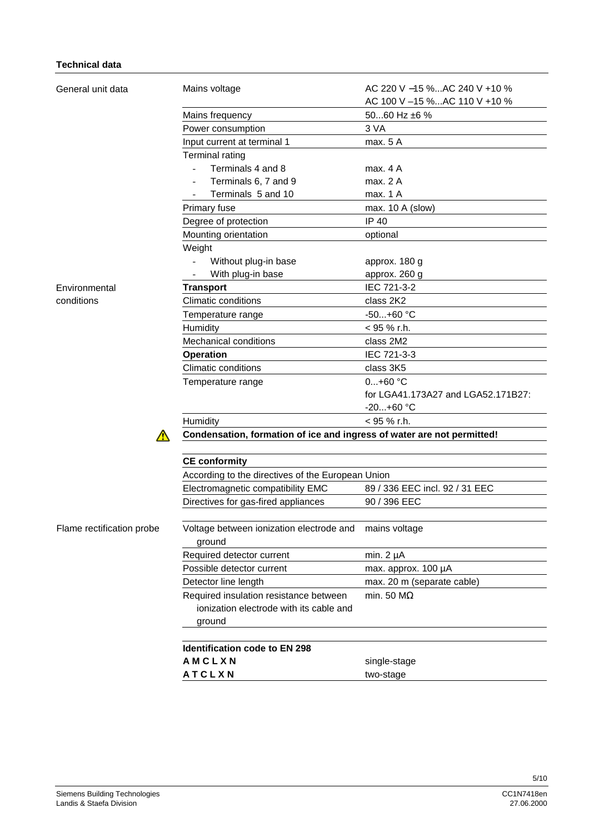# **Technical data**

| General unit data         | Mains voltage                                                          | AC 220 V -15 %AC 240 V +10 %<br>AC 100 V -15 %AC 110 V +10 % |  |  |  |  |
|---------------------------|------------------------------------------------------------------------|--------------------------------------------------------------|--|--|--|--|
|                           | Mains frequency                                                        | 5060 Hz ±6 %                                                 |  |  |  |  |
|                           | Power consumption                                                      | 3 VA                                                         |  |  |  |  |
|                           | Input current at terminal 1                                            | max. 5 A                                                     |  |  |  |  |
|                           | <b>Terminal rating</b>                                                 |                                                              |  |  |  |  |
|                           | Terminals 4 and 8                                                      | max. 4 A                                                     |  |  |  |  |
|                           | Terminals 6, 7 and 9                                                   | max. 2 A                                                     |  |  |  |  |
|                           | Terminals 5 and 10                                                     | max. 1 A                                                     |  |  |  |  |
|                           | Primary fuse                                                           | max. 10 A (slow)                                             |  |  |  |  |
|                           | Degree of protection                                                   | IP 40                                                        |  |  |  |  |
|                           | Mounting orientation                                                   | optional                                                     |  |  |  |  |
|                           | Weight                                                                 |                                                              |  |  |  |  |
|                           | Without plug-in base                                                   | approx. 180 g                                                |  |  |  |  |
|                           | With plug-in base                                                      | approx. 260 g                                                |  |  |  |  |
| Environmental             | <b>Transport</b>                                                       | IEC 721-3-2                                                  |  |  |  |  |
| conditions                | <b>Climatic conditions</b>                                             | class 2K2                                                    |  |  |  |  |
|                           | Temperature range                                                      | -50+60 °C                                                    |  |  |  |  |
|                           | Humidity                                                               | $< 95 %$ r.h.                                                |  |  |  |  |
|                           | <b>Mechanical conditions</b>                                           | class 2M2                                                    |  |  |  |  |
|                           | <b>Operation</b>                                                       | IEC 721-3-3                                                  |  |  |  |  |
|                           | <b>Climatic conditions</b>                                             | class 3K5                                                    |  |  |  |  |
|                           | Temperature range                                                      | $0+60$ °C                                                    |  |  |  |  |
|                           |                                                                        | for LGA41.173A27 and LGA52.171B27:                           |  |  |  |  |
|                           |                                                                        | $-20+60$ °C                                                  |  |  |  |  |
|                           | Humidity                                                               | $<$ 95 % r.h.                                                |  |  |  |  |
| $\sqrt{N}$                | Condensation, formation of ice and ingress of water are not permitted! |                                                              |  |  |  |  |
|                           | <b>CE conformity</b>                                                   |                                                              |  |  |  |  |
|                           | According to the directives of the European Union                      |                                                              |  |  |  |  |
|                           | Electromagnetic compatibility EMC                                      | 89 / 336 EEC incl. 92 / 31 EEC                               |  |  |  |  |
|                           | Directives for gas-fired appliances                                    | 90 / 396 EEC                                                 |  |  |  |  |
|                           |                                                                        |                                                              |  |  |  |  |
| Flame rectification probe | Voltage between ionization electrode and<br>ground                     | mains voltage                                                |  |  |  |  |
|                           | Required detector current                                              | min. $2 \mu A$                                               |  |  |  |  |
|                           | Possible detector current                                              | max. approx. 100 µA                                          |  |  |  |  |
|                           | Detector line length                                                   | max. 20 m (separate cable)                                   |  |  |  |  |
|                           | Required insulation resistance between                                 | min. 50 $M\Omega$                                            |  |  |  |  |
|                           | ionization electrode with its cable and                                |                                                              |  |  |  |  |
|                           | ground                                                                 |                                                              |  |  |  |  |
|                           |                                                                        |                                                              |  |  |  |  |
|                           | <b>Identification code to EN 298</b>                                   |                                                              |  |  |  |  |
|                           | AMCLXN                                                                 | single-stage                                                 |  |  |  |  |
|                           | <b>ATCLXN</b>                                                          | two-stage                                                    |  |  |  |  |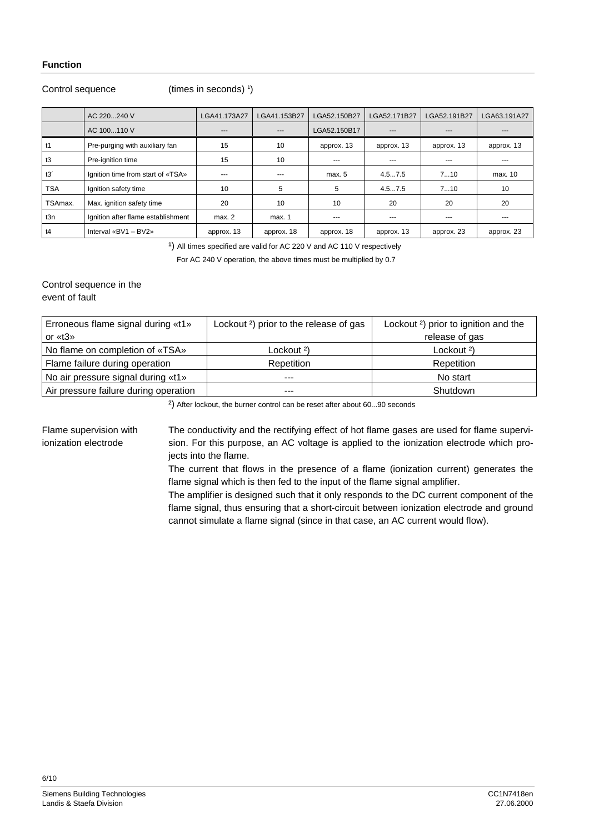# **Function**

# Control sequence

(times in seconds) 1 )

|            | AC 220240 V                        | LGA41.173A27 | LGA41.153B27 | LGA52.150B27  | LGA52.171B27 | LGA52.191B27 | LGA63.191A27 |
|------------|------------------------------------|--------------|--------------|---------------|--------------|--------------|--------------|
|            | AC 100110 V                        | $---$        | ---          | LGA52.150B17  | $---$        | $---$        | $- - -$      |
| t1         | Pre-purging with auxiliary fan     | 15           | 10           | approx. 13    | approx. 13   | approx. 13   | approx. 13   |
| t3         | Pre-ignition time                  | 15           | 10           | $- - -$       | $---$        | $--$         | ---          |
| t3'        | Ignition time from start of «TSA»  | ---          | ---          | max. 5        | 4.57.5       | 710          | max. 10      |
| <b>TSA</b> | Ignition safety time               | 10           | 5            | 5             | 4.57.5       | 710          | 10           |
| TSAmax.    | Max. ignition safety time          | 20           | 10           | 10            | 20           | 20           | 20           |
| t3n        | Ignition after flame establishment | max. 2       | max. 1       | $\frac{1}{2}$ | $---$        | ---          | $---$        |
| t4         | Interval «BV1 - BV2»               | approx. 13   | approx. 18   | approx. 18    | approx. 13   | approx. 23   | approx. 23   |

<sup>1</sup>) All times specified are valid for AC 220 V and AC 110 V respectively

For AC 240 V operation, the above times must be multiplied by 0.7

Control sequence in the event of fault

| Erroneous flame signal during «t1»    | Lockout <sup>2</sup> ) prior to the release of gas | Lockout <sup>2</sup> ) prior to ignition and the |  |  |
|---------------------------------------|----------------------------------------------------|--------------------------------------------------|--|--|
| or $*13*$                             |                                                    | release of gas                                   |  |  |
| No flame on completion of «TSA»       | Lockout <sup>2</sup> )                             | Lockout <sup>2</sup> )                           |  |  |
| Flame failure during operation        | Repetition                                         | Repetition                                       |  |  |
| No air pressure signal during «t1»    | ---                                                | No start                                         |  |  |
| Air pressure failure during operation | ---                                                | Shutdown                                         |  |  |

<sup>2</sup>) After lockout, the burner control can be reset after about 60...90 seconds

The conductivity and the rectifying effect of hot flame gases are used for flame supervision. For this purpose, an AC voltage is applied to the ionization electrode which projects into the flame. Flame supervision with ionization electrode

> The current that flows in the presence of a flame (ionization current) generates the flame signal which is then fed to the input of the flame signal amplifier.

> The amplifier is designed such that it only responds to the DC current component of the flame signal, thus ensuring that a short-circuit between ionization electrode and ground cannot simulate a flame signal (since in that case, an AC current would flow).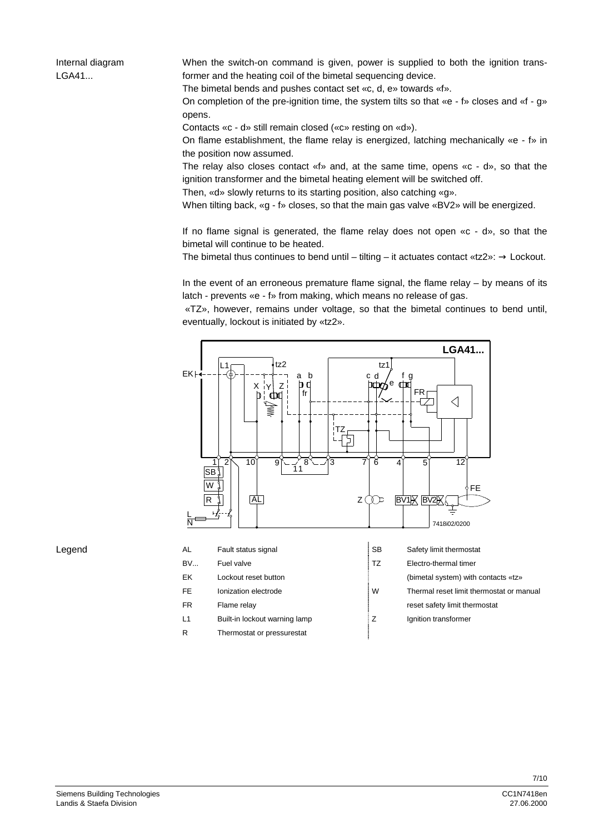Internal diagram LGA41...

When the switch-on command is given, power is supplied to both the ignition transformer and the heating coil of the bimetal sequencing device.

The bimetal bends and pushes contact set «c, d, e» towards «f».

On completion of the pre-ignition time, the system tilts so that «e - f» closes and «f - g» opens.

Contacts «c - d» still remain closed («c» resting on «d»).

On flame establishment, the flame relay is energized, latching mechanically «e - f» in the position now assumed.

The relay also closes contact  $\langle f \rangle$  and, at the same time, opens  $\langle c - d \rangle$ , so that the ignition transformer and the bimetal heating element will be switched off.

Then, «d» slowly returns to its starting position, also catching «g».

When tilting back, «g - f» closes, so that the main gas valve «BV2» will be energized.

If no flame signal is generated, the flame relay does not open «c - d», so that the bimetal will continue to be heated.

The bimetal thus continues to bend until – tilting – it actuates contact «tz $2 \rightarrow \pm 1$  Lockout.

In the event of an erroneous premature flame signal, the flame relay – by means of its latch - prevents «e - f» from making, which means no release of gas.

 «TZ», however, remains under voltage, so that the bimetal continues to bend until, eventually, lockout is initiated by «tz2».



Legend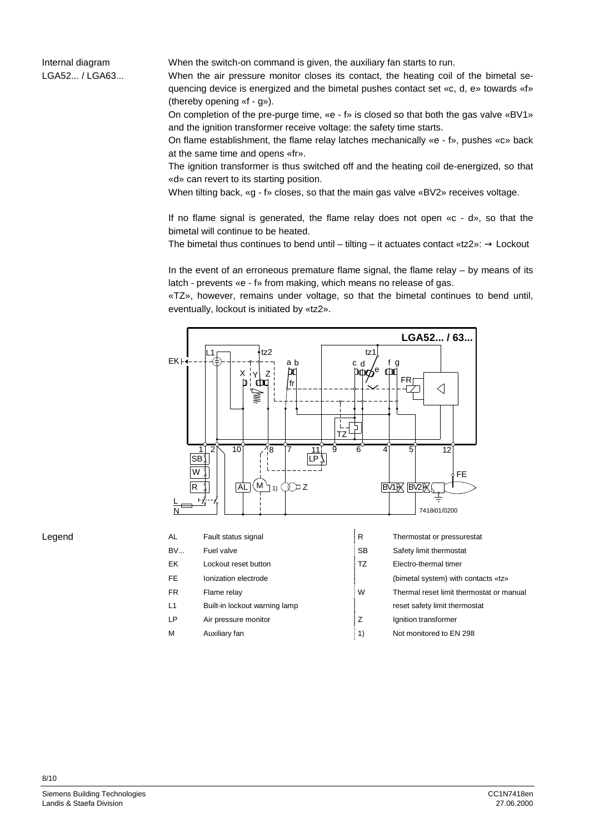Internal diagram LGA52... / LGA63... When the switch-on command is given, the auxiliary fan starts to run.

When the air pressure monitor closes its contact, the heating coil of the bimetal sequencing device is energized and the bimetal pushes contact set «c, d, e» towards «f» (thereby opening «f - g»).

On completion of the pre-purge time, «e - f» is closed so that both the gas valve «BV1» and the ignition transformer receive voltage: the safety time starts.

On flame establishment, the flame relay latches mechanically «e - f», pushes «c» back at the same time and opens «fr».

The ignition transformer is thus switched off and the heating coil de-energized, so that «d» can revert to its starting position.

When tilting back, «g - f» closes, so that the main gas valve «BV2» receives voltage.

If no flame signal is generated, the flame relay does not open «c - d», so that the bimetal will continue to be heated.

The bimetal thus continues to bend until – tilting – it actuates contact «tz2»:  $\rightarrow$  Lockout

In the event of an erroneous premature flame signal, the flame relay – by means of its latch - prevents «e - f» from making, which means no release of gas.

«TZ», however, remains under voltage, so that the bimetal continues to bend until, eventually, lockout is initiated by «tz2».



Legend

M Auxiliary fan 1) Not monitored to EN 298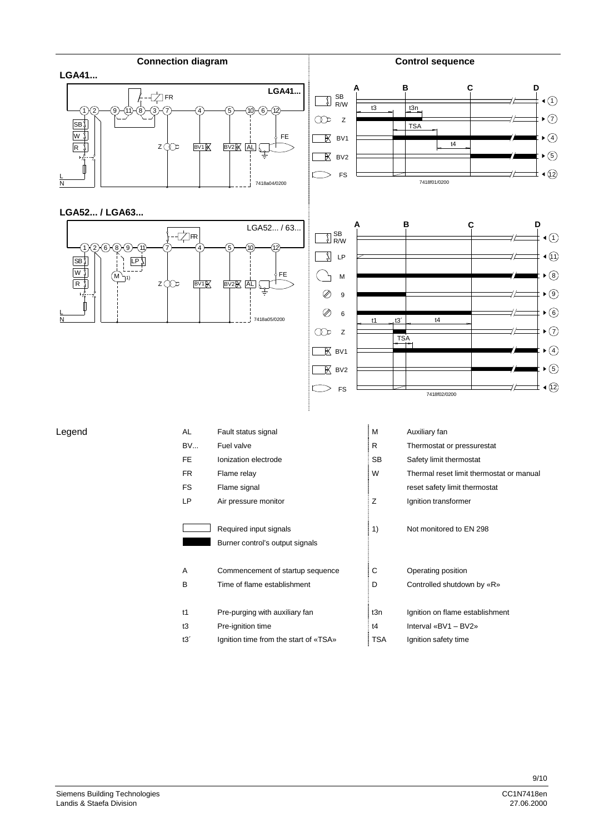